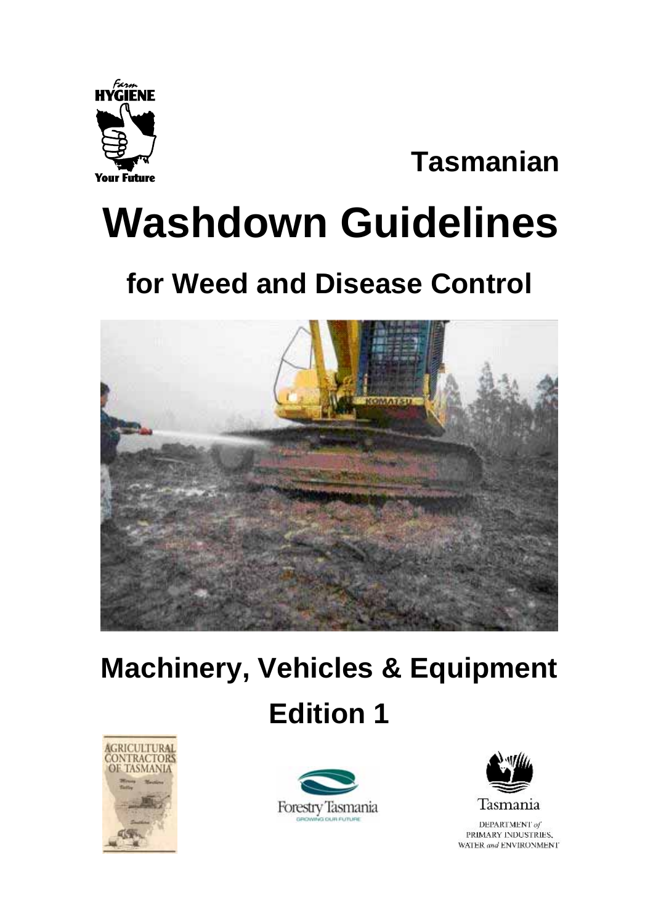

# **Tasmanian**

# **Washdown Guidelines**

# **for Weed and Disease Control**



# **Machinery, Vehicles & Equipment Edition 1**







DEPARTMENT of PRIMARY INDUSTRIES, WATER and ENVIRONMENT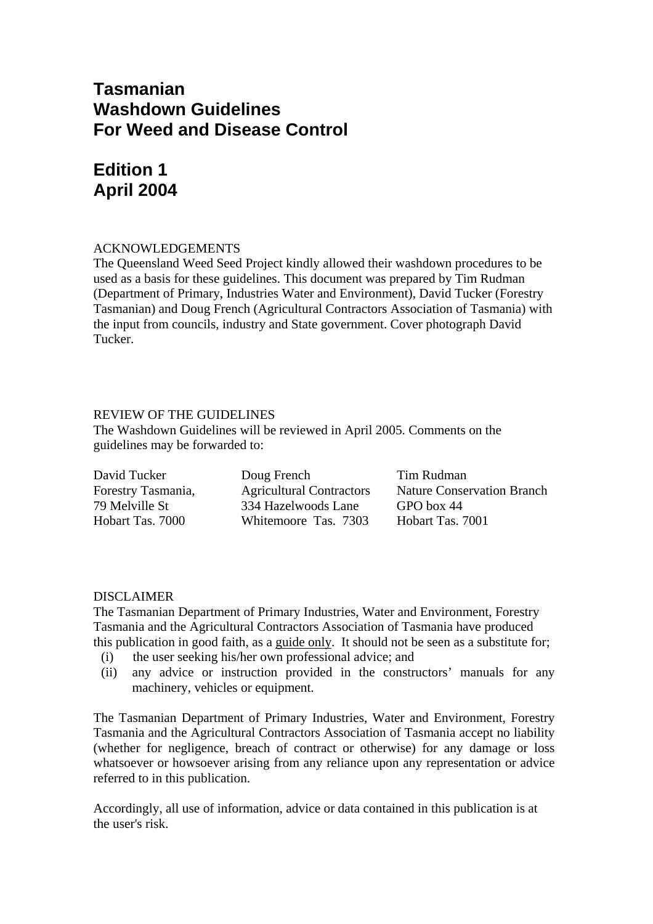#### **Tasmanian Washdown Guidelines For Weed and Disease Control**

### **Edition 1 April 2004**

#### ACKNOWLEDGEMENTS

The Queensland Weed Seed Project kindly allowed their washdown procedures to be used as a basis for these guidelines. This document was prepared by Tim Rudman (Department of Primary, Industries Water and Environment), David Tucker (Forestry Tasmanian) and Doug French (Agricultural Contractors Association of Tasmania) with the input from councils, industry and State government. Cover photograph David Tucker.

#### REVIEW OF THE GUIDELINES

The Washdown Guidelines will be reviewed in April 2005. Comments on the guidelines may be forwarded to:

| David Tucker       | Doug French                     | Tim Rudman                        |
|--------------------|---------------------------------|-----------------------------------|
| Forestry Tasmania, | <b>Agricultural Contractors</b> | <b>Nature Conservation Branch</b> |
| 79 Melville St     | 334 Hazelwoods Lane             | GPO box 44                        |
| Hobart Tas. 7000   | Whitemoore Tas. 7303            | Hobart Tas. 7001                  |

#### DISCLAIMER

The Tasmanian Department of Primary Industries, Water and Environment, Forestry Tasmania and the Agricultural Contractors Association of Tasmania have produced this publication in good faith, as a guide only. It should not be seen as a substitute for;

- (i) the user seeking his/her own professional advice; and
- (ii) any advice or instruction provided in the constructors' manuals for any machinery, vehicles or equipment.

The Tasmanian Department of Primary Industries, Water and Environment, Forestry Tasmania and the Agricultural Contractors Association of Tasmania accept no liability (whether for negligence, breach of contract or otherwise) for any damage or loss whatsoever or howsoever arising from any reliance upon any representation or advice referred to in this publication.

Accordingly, all use of information, advice or data contained in this publication is at the user's risk.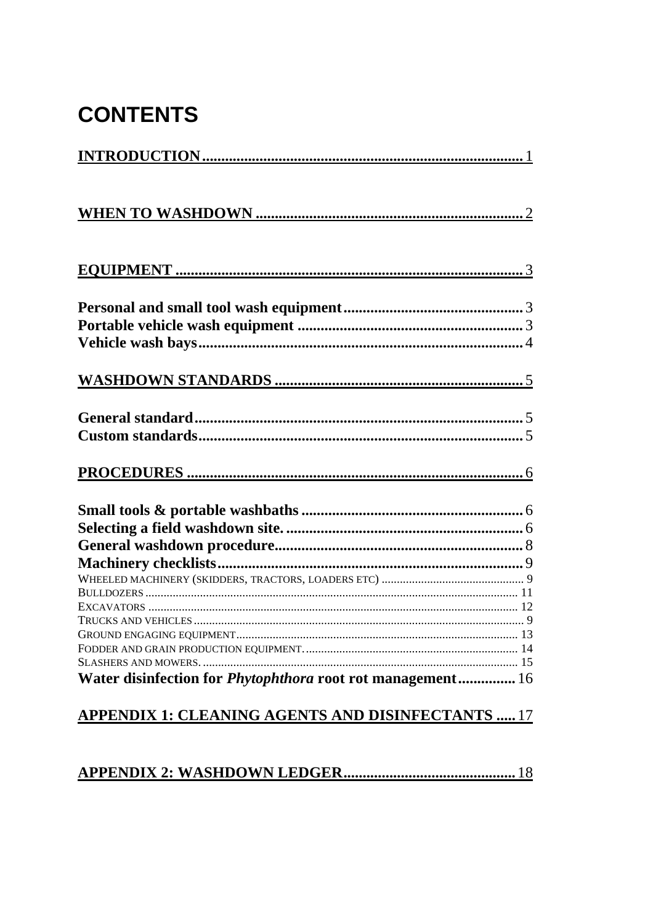# **CONTENTS**

| SLASHERS AND MOWERS.                                              |  |
|-------------------------------------------------------------------|--|
| Water disinfection for <i>Phytophthora</i> root rot management 16 |  |
|                                                                   |  |
| <u> APPENDIX 1: CLEANING AGENTS AND DISINFECTANTS  17</u>         |  |

#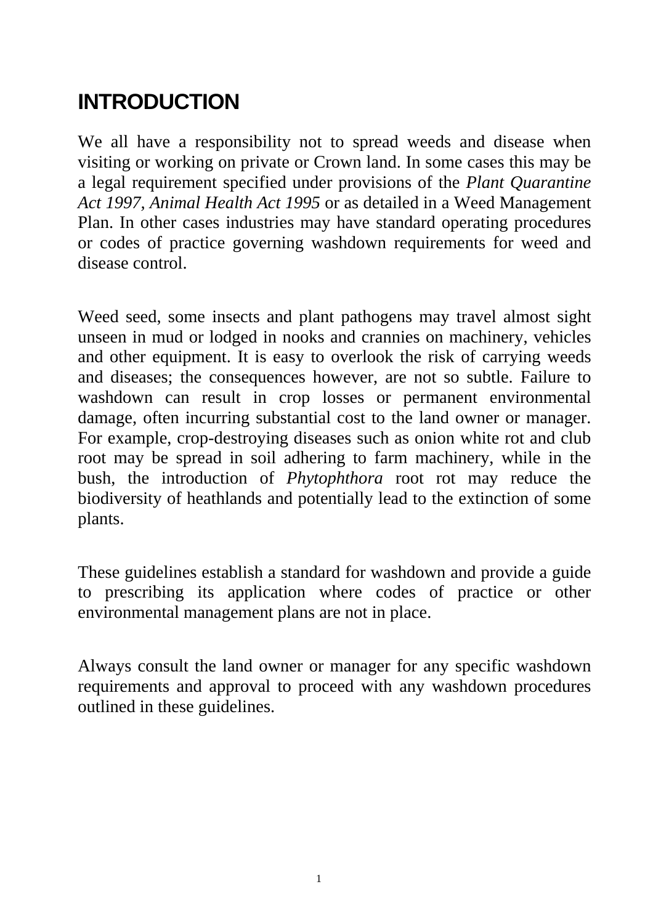# **INTRODUCTION**

We all have a responsibility not to spread weeds and disease when visiting or working on private or Crown land. In some cases this may be a legal requirement specified under provisions of the *Plant Quarantine Act 1997, Animal Health Act 1995* or as detailed in a Weed Management Plan. In other cases industries may have standard operating procedures or codes of practice governing washdown requirements for weed and disease control.

Weed seed, some insects and plant pathogens may travel almost sight unseen in mud or lodged in nooks and crannies on machinery, vehicles and other equipment. It is easy to overlook the risk of carrying weeds and diseases; the consequences however, are not so subtle. Failure to washdown can result in crop losses or permanent environmental damage, often incurring substantial cost to the land owner or manager. For example, crop-destroying diseases such as onion white rot and club root may be spread in soil adhering to farm machinery, while in the bush, the introduction of *Phytophthora* root rot may reduce the biodiversity of heathlands and potentially lead to the extinction of some plants.

These guidelines establish a standard for washdown and provide a guide to prescribing its application where codes of practice or other environmental management plans are not in place.

Always consult the land owner or manager for any specific washdown requirements and approval to proceed with any washdown procedures outlined in these guidelines.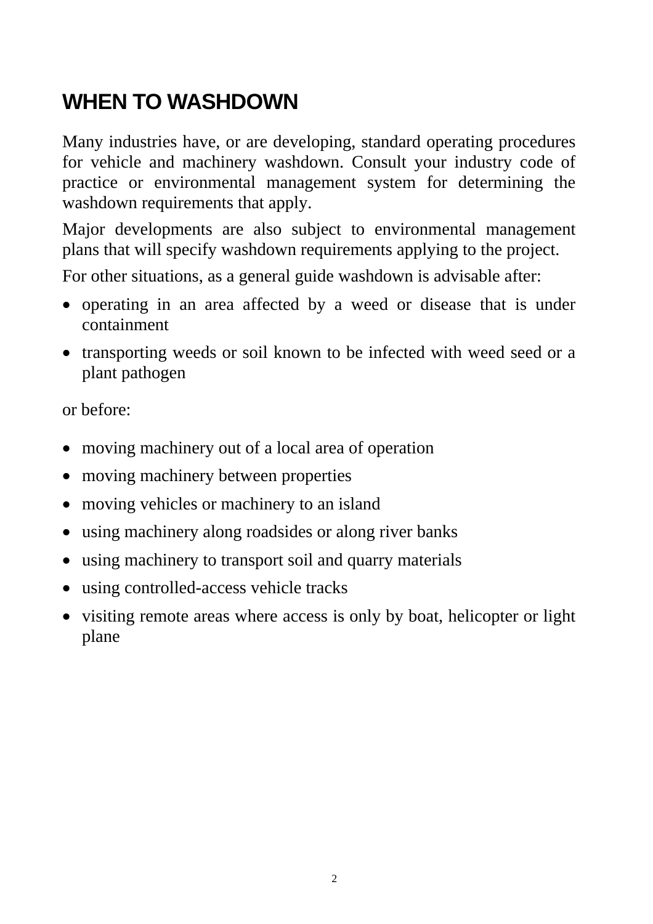# **WHEN TO WASHDOWN**

Many industries have, or are developing, standard operating procedures for vehicle and machinery washdown. Consult your industry code of practice or environmental management system for determining the washdown requirements that apply.

Major developments are also subject to environmental management plans that will specify washdown requirements applying to the project.

For other situations, as a general guide washdown is advisable after:

- operating in an area affected by a weed or disease that is under containment
- transporting weeds or soil known to be infected with weed seed or a plant pathogen

or before:

- moving machinery out of a local area of operation
- moving machinery between properties
- moving vehicles or machinery to an island
- using machinery along roadsides or along river banks
- using machinery to transport soil and quarry materials
- using controlled-access vehicle tracks
- visiting remote areas where access is only by boat, helicopter or light plane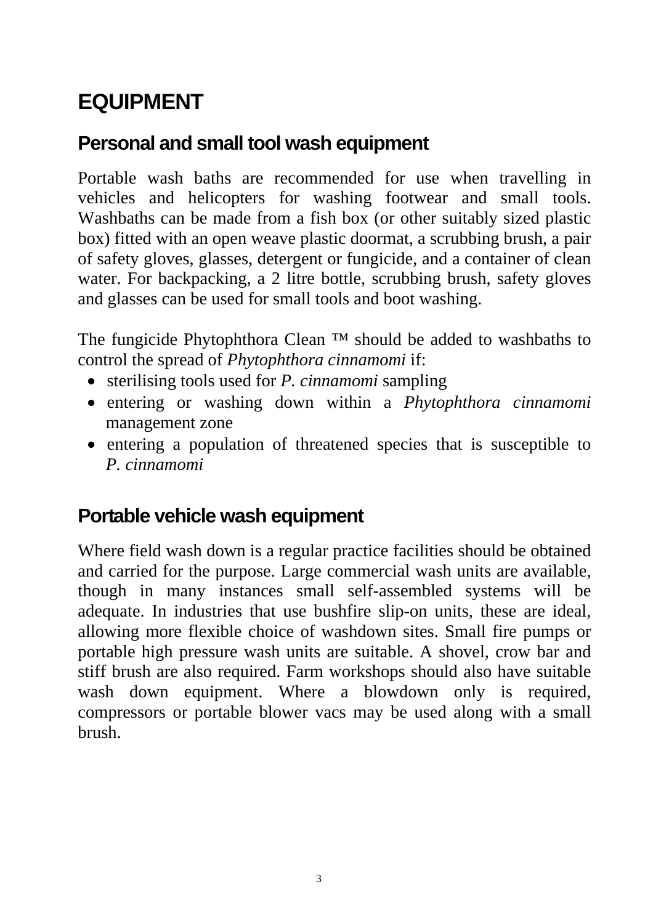# **EQUIPMENT**

# **Personal and small tool wash equipment**

Portable wash baths are recommended for use when travelling in vehicles and helicopters for washing footwear and small tools. Washbaths can be made from a fish box (or other suitably sized plastic box) fitted with an open weave plastic doormat, a scrubbing brush, a pair of safety gloves, glasses, detergent or fungicide, and a container of clean water. For backpacking, a 2 litre bottle, scrubbing brush, safety gloves and glasses can be used for small tools and boot washing.

The fungicide Phytophthora Clean ™ should be added to washbaths to control the spread of *Phytophthora cinnamomi* if:

- sterilising tools used for *P. cinnamomi* sampling
- entering or washing down within a *Phytophthora cinnamomi* management zone
- entering a population of threatened species that is susceptible to *P. cinnamomi*

# **Portable vehicle wash equipment**

Where field wash down is a regular practice facilities should be obtained and carried for the purpose. Large commercial wash units are available, though in many instances small self-assembled systems will be adequate. In industries that use bushfire slip-on units, these are ideal, allowing more flexible choice of washdown sites. Small fire pumps or portable high pressure wash units are suitable. A shovel, crow bar and stiff brush are also required. Farm workshops should also have suitable wash down equipment. Where a blowdown only is required, compressors or portable blower vacs may be used along with a small brush.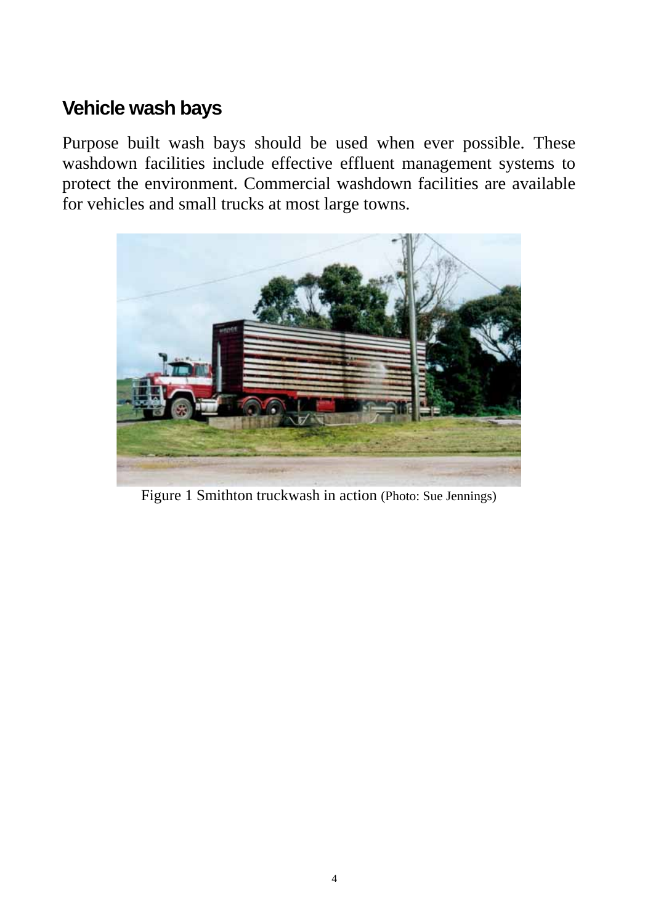# **Vehicle wash bays**

Purpose built wash bays should be used when ever possible. These washdown facilities include effective effluent management systems to protect the environment. Commercial washdown facilities are available for vehicles and small trucks at most large towns.



Figure 1 Smithton truckwash in action (Photo: Sue Jennings)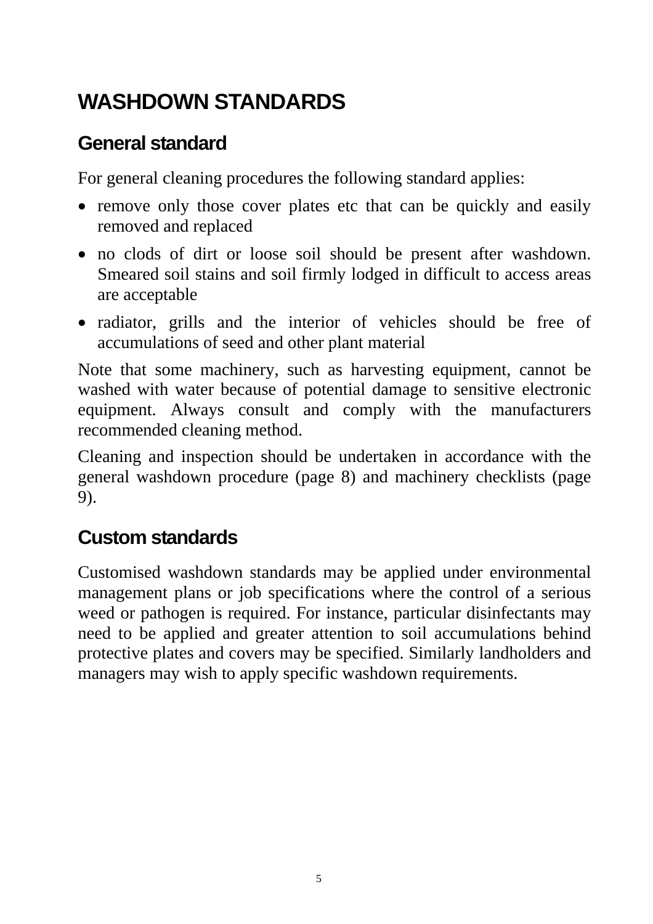# **WASHDOWN STANDARDS**

## **General standard**

For general cleaning procedures the following standard applies:

- remove only those cover plates etc that can be quickly and easily removed and replaced
- no clods of dirt or loose soil should be present after washdown. Smeared soil stains and soil firmly lodged in difficult to access areas are acceptable
- radiator, grills and the interior of vehicles should be free of accumulations of seed and other plant material

Note that some machinery, such as harvesting equipment, cannot be washed with water because of potential damage to sensitive electronic equipment. Always consult and comply with the manufacturers recommended cleaning method.

Cleaning and inspection should be undertaken in accordance with the general washdown procedure (page 8) and machinery checklists (page 9).

# **Custom standards**

Customised washdown standards may be applied under environmental management plans or job specifications where the control of a serious weed or pathogen is required. For instance, particular disinfectants may need to be applied and greater attention to soil accumulations behind protective plates and covers may be specified. Similarly landholders and managers may wish to apply specific washdown requirements.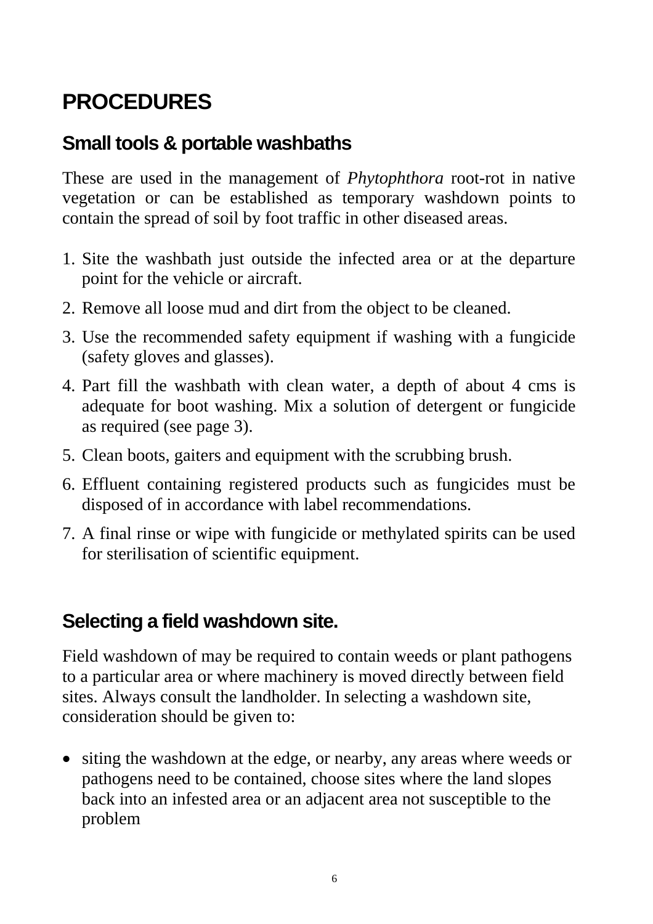# **PROCEDURES**

## **Small tools & portable washbaths**

These are used in the management of *Phytophthora* root-rot in native vegetation or can be established as temporary washdown points to contain the spread of soil by foot traffic in other diseased areas.

- 1. Site the washbath just outside the infected area or at the departure point for the vehicle or aircraft.
- 2. Remove all loose mud and dirt from the object to be cleaned.
- 3. Use the recommended safety equipment if washing with a fungicide (safety gloves and glasses).
- 4. Part fill the washbath with clean water, a depth of about 4 cms is adequate for boot washing. Mix a solution of detergent or fungicide as required (see page 3).
- 5. Clean boots, gaiters and equipment with the scrubbing brush.
- 6. Effluent containing registered products such as fungicides must be disposed of in accordance with label recommendations.
- 7. A final rinse or wipe with fungicide or methylated spirits can be used for sterilisation of scientific equipment.

# **Selecting a field washdown site.**

Field washdown of may be required to contain weeds or plant pathogens to a particular area or where machinery is moved directly between field sites. Always consult the landholder. In selecting a washdown site, consideration should be given to:

• siting the washdown at the edge, or nearby, any areas where weeds or pathogens need to be contained, choose sites where the land slopes back into an infested area or an adjacent area not susceptible to the problem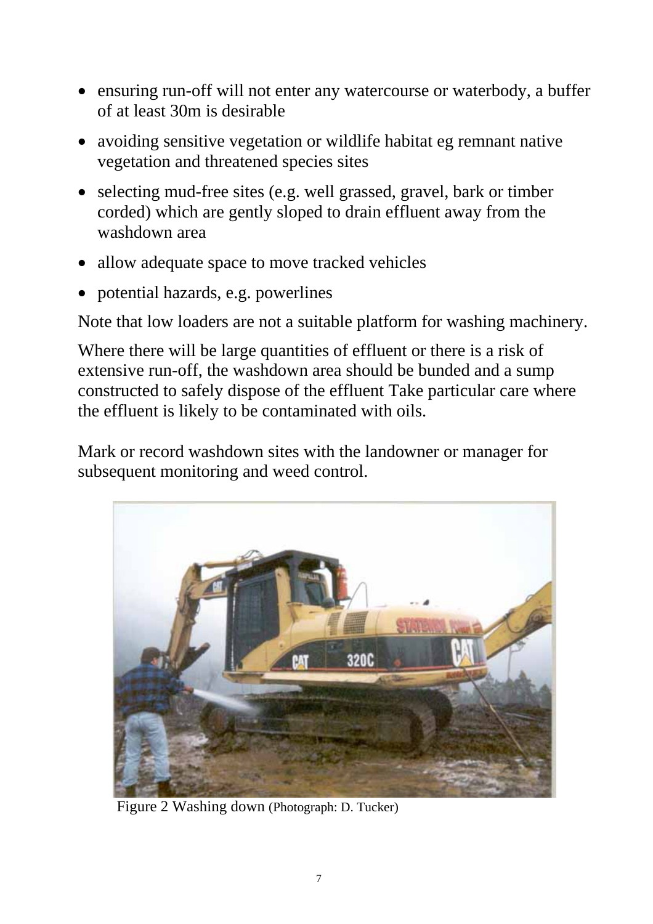- ensuring run-off will not enter any watercourse or waterbody, a buffer of at least 30m is desirable
- avoiding sensitive vegetation or wildlife habitat eg remnant native vegetation and threatened species sites
- selecting mud-free sites (e.g. well grassed, gravel, bark or timber corded) which are gently sloped to drain effluent away from the washdown area
- allow adequate space to move tracked vehicles
- potential hazards, e.g. powerlines

Note that low loaders are not a suitable platform for washing machinery.

Where there will be large quantities of effluent or there is a risk of extensive run-off, the washdown area should be bunded and a sump constructed to safely dispose of the effluent Take particular care where the effluent is likely to be contaminated with oils.

Mark or record washdown sites with the landowner or manager for subsequent monitoring and weed control.



Figure 2 Washing down (Photograph: D. Tucker)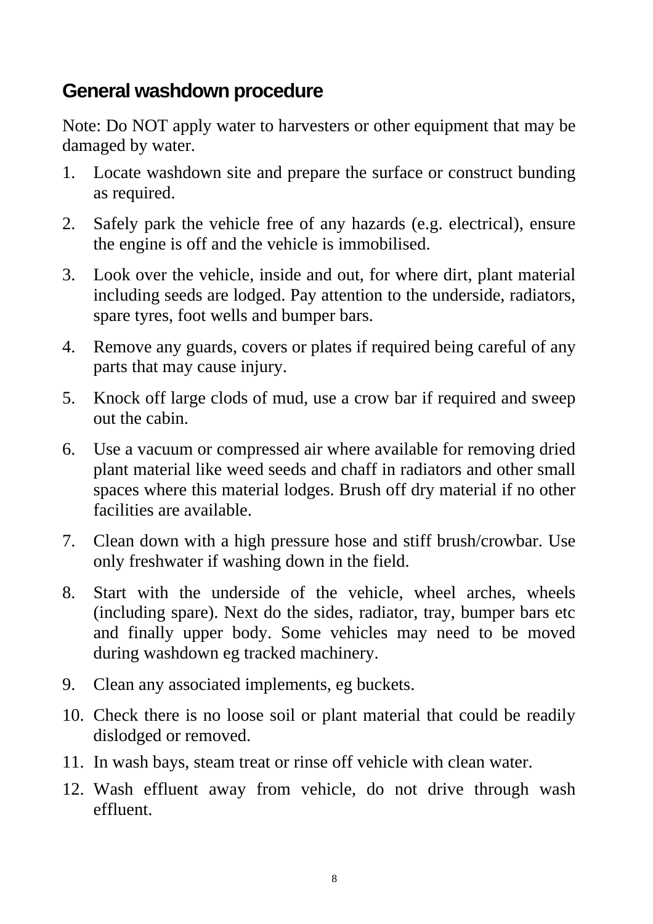# **General washdown procedure**

Note: Do NOT apply water to harvesters or other equipment that may be damaged by water.

- 1. Locate washdown site and prepare the surface or construct bunding as required.
- 2. Safely park the vehicle free of any hazards (e.g. electrical), ensure the engine is off and the vehicle is immobilised.
- 3. Look over the vehicle, inside and out, for where dirt, plant material including seeds are lodged. Pay attention to the underside, radiators, spare tyres, foot wells and bumper bars.
- 4. Remove any guards, covers or plates if required being careful of any parts that may cause injury.
- 5. Knock off large clods of mud, use a crow bar if required and sweep out the cabin.
- 6. Use a vacuum or compressed air where available for removing dried plant material like weed seeds and chaff in radiators and other small spaces where this material lodges. Brush off dry material if no other facilities are available.
- 7. Clean down with a high pressure hose and stiff brush/crowbar. Use only freshwater if washing down in the field.
- 8. Start with the underside of the vehicle, wheel arches, wheels (including spare). Next do the sides, radiator, tray, bumper bars etc and finally upper body. Some vehicles may need to be moved during washdown eg tracked machinery.
- 9. Clean any associated implements, eg buckets.
- 10. Check there is no loose soil or plant material that could be readily dislodged or removed.
- 11. In wash bays, steam treat or rinse off vehicle with clean water.
- 12. Wash effluent away from vehicle, do not drive through wash effluent.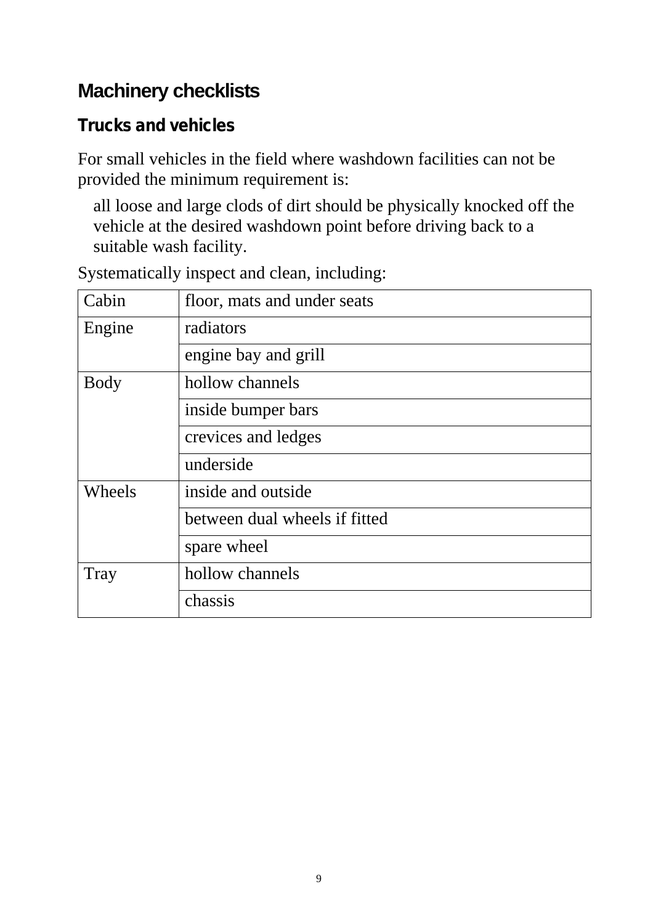# **Machinery checklists**

# **Trucks and vehicles**

For small vehicles in the field where washdown facilities can not be provided the minimum requirement is:

all loose and large clods of dirt should be physically knocked off the vehicle at the desired washdown point before driving back to a suitable wash facility.

| Cabin       | floor, mats and under seats   |  |  |
|-------------|-------------------------------|--|--|
| Engine      | radiators                     |  |  |
|             | engine bay and grill          |  |  |
| <b>Body</b> | hollow channels               |  |  |
|             | inside bumper bars            |  |  |
|             | crevices and ledges           |  |  |
|             | underside                     |  |  |
| Wheels      | inside and outside            |  |  |
|             | between dual wheels if fitted |  |  |
|             | spare wheel                   |  |  |
| Tray        | hollow channels               |  |  |
|             | chassis                       |  |  |
|             |                               |  |  |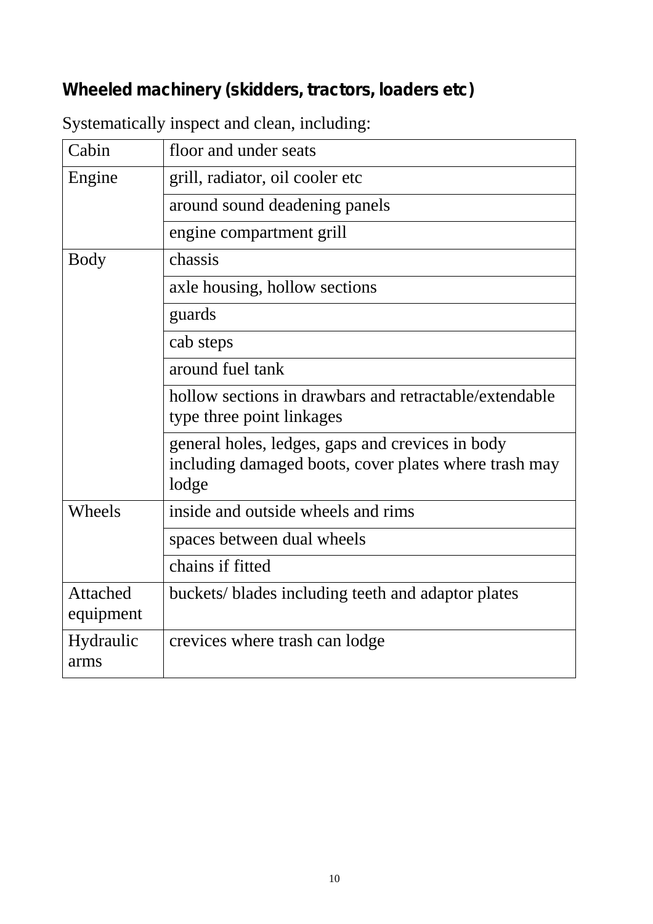# **Wheeled machinery (skidders, tractors, loaders etc)**

| Cabin                 | floor and under seats                                                                                              |  |  |
|-----------------------|--------------------------------------------------------------------------------------------------------------------|--|--|
| Engine                | grill, radiator, oil cooler etc                                                                                    |  |  |
|                       | around sound deadening panels                                                                                      |  |  |
|                       | engine compartment grill                                                                                           |  |  |
| <b>Body</b>           | chassis                                                                                                            |  |  |
|                       | axle housing, hollow sections                                                                                      |  |  |
|                       | guards                                                                                                             |  |  |
|                       | cab steps                                                                                                          |  |  |
|                       | around fuel tank                                                                                                   |  |  |
|                       | hollow sections in drawbars and retractable/extendable<br>type three point linkages                                |  |  |
|                       | general holes, ledges, gaps and crevices in body<br>including damaged boots, cover plates where trash may<br>lodge |  |  |
| Wheels                | inside and outside wheels and rims                                                                                 |  |  |
|                       | spaces between dual wheels                                                                                         |  |  |
|                       | chains if fitted                                                                                                   |  |  |
| Attached<br>equipment | buckets/ blades including teeth and adaptor plates                                                                 |  |  |
| Hydraulic<br>arms     | crevices where trash can lodge                                                                                     |  |  |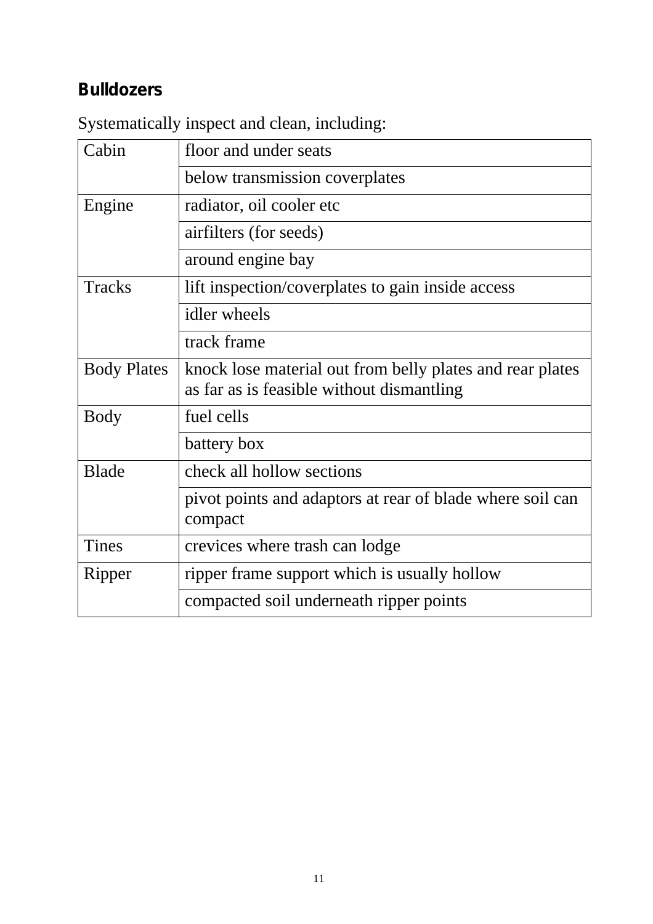# **Bulldozers**

| Cabin              | floor and under seats                                                                                  |  |  |
|--------------------|--------------------------------------------------------------------------------------------------------|--|--|
|                    | below transmission coverplates                                                                         |  |  |
| Engine             | radiator, oil cooler etc                                                                               |  |  |
|                    | airfilters (for seeds)                                                                                 |  |  |
|                    | around engine bay                                                                                      |  |  |
| Tracks             | lift inspection/coverplates to gain inside access                                                      |  |  |
|                    | idler wheels                                                                                           |  |  |
|                    | track frame                                                                                            |  |  |
| <b>Body Plates</b> | knock lose material out from belly plates and rear plates<br>as far as is feasible without dismantling |  |  |
| <b>Body</b>        | fuel cells                                                                                             |  |  |
|                    | battery box                                                                                            |  |  |
| <b>Blade</b>       | check all hollow sections                                                                              |  |  |
|                    | pivot points and adaptors at rear of blade where soil can<br>compact                                   |  |  |
| <b>Tines</b>       | crevices where trash can lodge                                                                         |  |  |
| Ripper             | ripper frame support which is usually hollow                                                           |  |  |
|                    | compacted soil underneath ripper points                                                                |  |  |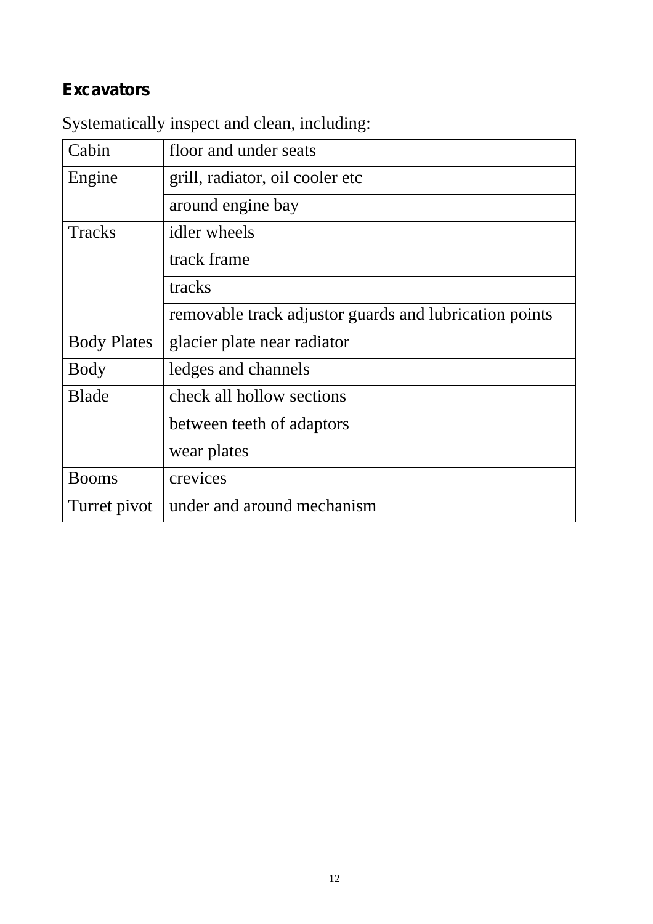# **Excavators**

| Cabin              | floor and under seats                                  |  |  |
|--------------------|--------------------------------------------------------|--|--|
| Engine             | grill, radiator, oil cooler etc                        |  |  |
|                    | around engine bay                                      |  |  |
| <b>Tracks</b>      | idler wheels                                           |  |  |
|                    | track frame                                            |  |  |
|                    | tracks                                                 |  |  |
|                    | removable track adjustor guards and lubrication points |  |  |
| <b>Body Plates</b> | glacier plate near radiator                            |  |  |
| <b>Body</b>        | ledges and channels                                    |  |  |
| <b>Blade</b>       | check all hollow sections                              |  |  |
|                    | between teeth of adaptors                              |  |  |
|                    | wear plates                                            |  |  |
| <b>Booms</b>       | crevices                                               |  |  |
| Turret pivot       | under and around mechanism                             |  |  |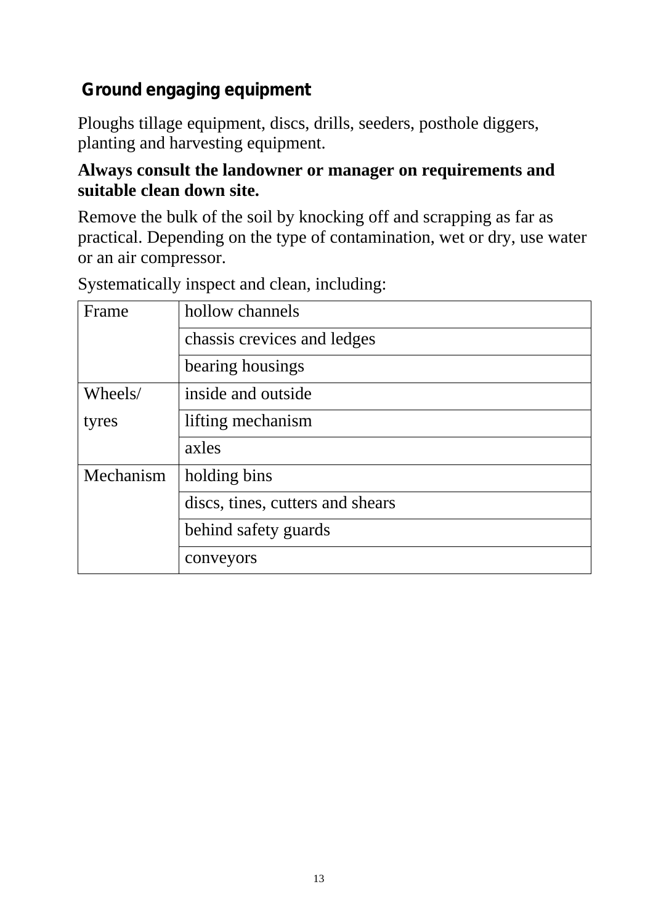# **Ground engaging equipment**

Ploughs tillage equipment, discs, drills, seeders, posthole diggers, planting and harvesting equipment.

#### **Always consult the landowner or manager on requirements and suitable clean down site.**

Remove the bulk of the soil by knocking off and scrapping as far as practical. Depending on the type of contamination, wet or dry, use water or an air compressor.

| Frame     | hollow channels                  |  |  |
|-----------|----------------------------------|--|--|
|           | chassis crevices and ledges      |  |  |
|           | bearing housings                 |  |  |
| Wheels/   | inside and outside               |  |  |
| tyres     | lifting mechanism                |  |  |
|           | axles                            |  |  |
| Mechanism | holding bins                     |  |  |
|           | discs, tines, cutters and shears |  |  |
|           | behind safety guards             |  |  |
|           | conveyors                        |  |  |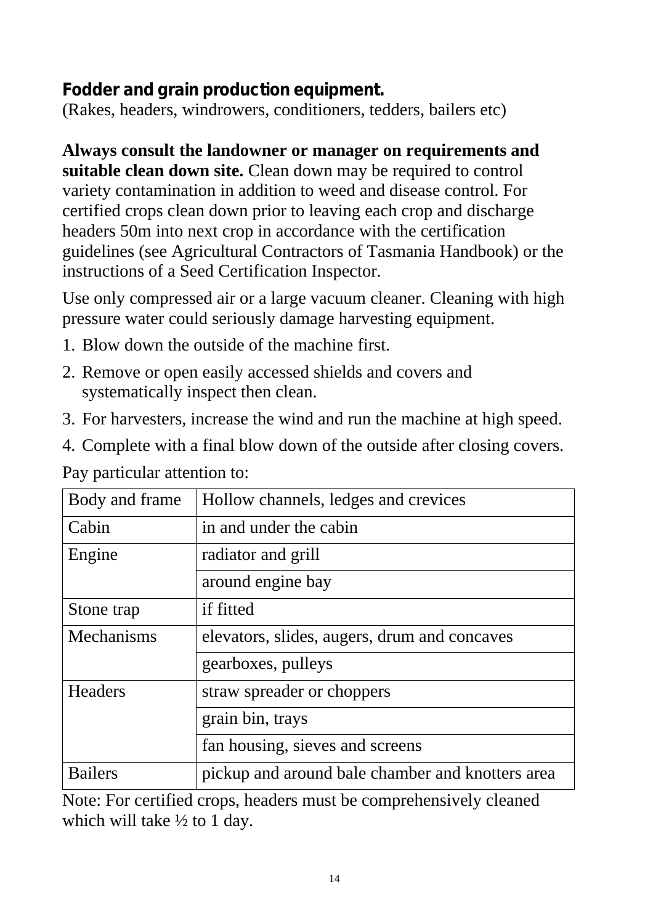### **Fodder and grain production equipment.**

(Rakes, headers, windrowers, conditioners, tedders, bailers etc)

### **Always consult the landowner or manager on requirements and**

**suitable clean down site.** Clean down may be required to control variety contamination in addition to weed and disease control. For certified crops clean down prior to leaving each crop and discharge headers 50m into next crop in accordance with the certification guidelines (see Agricultural Contractors of Tasmania Handbook) or the instructions of a Seed Certification Inspector.

Use only compressed air or a large vacuum cleaner. Cleaning with high pressure water could seriously damage harvesting equipment.

- 1. Blow down the outside of the machine first.
- 2. Remove or open easily accessed shields and covers and systematically inspect then clean.
- 3. For harvesters, increase the wind and run the machine at high speed.
- 4. Complete with a final blow down of the outside after closing covers.

Pay particular attention to:

| Body and frame   | Hollow channels, ledges and crevices             |  |  |
|------------------|--------------------------------------------------|--|--|
| Cabin            | in and under the cabin                           |  |  |
| Engine           | radiator and grill                               |  |  |
|                  | around engine bay                                |  |  |
| Stone trap       | if fitted                                        |  |  |
| Mechanisms       | elevators, slides, augers, drum and concaves     |  |  |
|                  | gearboxes, pulleys                               |  |  |
| <b>Headers</b>   | straw spreader or choppers                       |  |  |
| grain bin, trays |                                                  |  |  |
|                  | fan housing, sieves and screens                  |  |  |
| <b>Bailers</b>   | pickup and around bale chamber and knotters area |  |  |

Note: For certified crops, headers must be comprehensively cleaned which will take  $\frac{1}{2}$  to 1 day.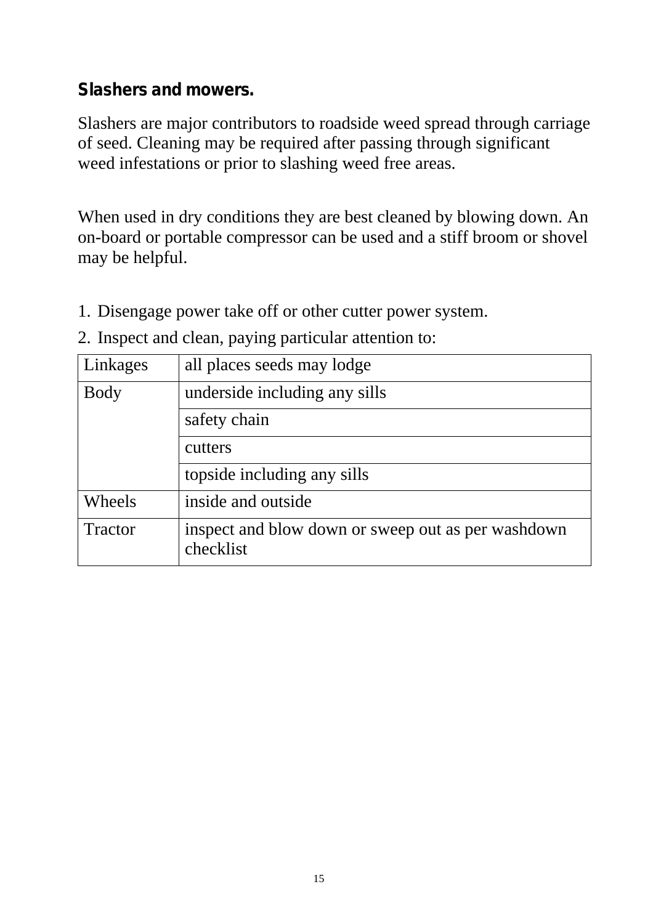#### **Slashers and mowers.**

Slashers are major contributors to roadside weed spread through carriage of seed. Cleaning may be required after passing through significant weed infestations or prior to slashing weed free areas.

When used in dry conditions they are best cleaned by blowing down. An on-board or portable compressor can be used and a stiff broom or shovel may be helpful.

- 1. Disengage power take off or other cutter power system.
- 2. Inspect and clean, paying particular attention to:

| Linkages    | all places seeds may lodge                                      |  |  |
|-------------|-----------------------------------------------------------------|--|--|
| <b>Body</b> | underside including any sills                                   |  |  |
|             | safety chain                                                    |  |  |
|             | cutters                                                         |  |  |
|             | topside including any sills                                     |  |  |
| Wheels      | inside and outside                                              |  |  |
| Tractor     | inspect and blow down or sweep out as per washdown<br>checklist |  |  |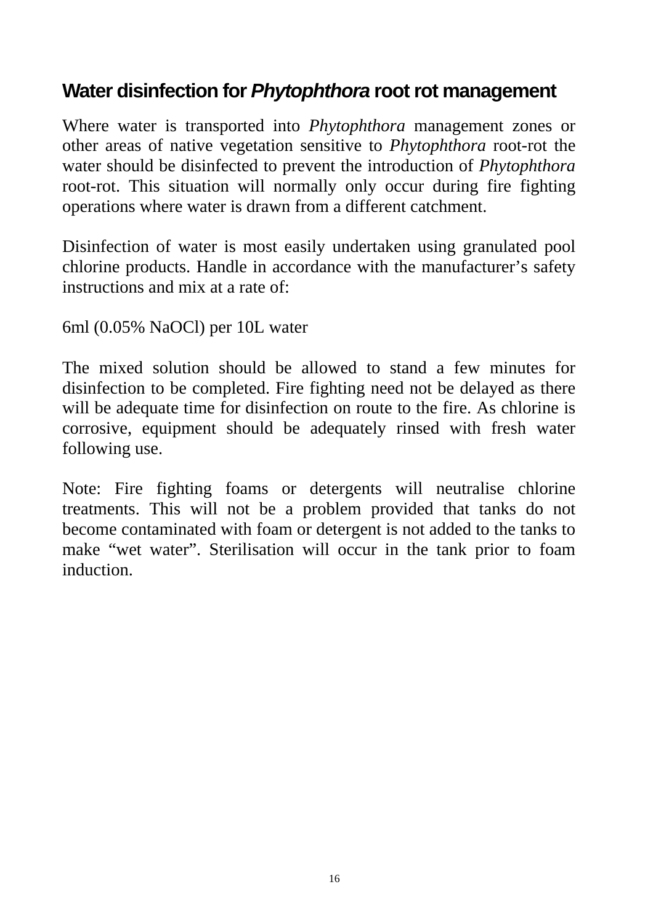# **Water disinfection for** *Phytophthora* **root rot management**

Where water is transported into *Phytophthora* management zones or other areas of native vegetation sensitive to *Phytophthora* root-rot the water should be disinfected to prevent the introduction of *Phytophthora* root-rot. This situation will normally only occur during fire fighting operations where water is drawn from a different catchment.

Disinfection of water is most easily undertaken using granulated pool chlorine products. Handle in accordance with the manufacturer's safety instructions and mix at a rate of:

6ml (0.05% NaOCl) per 10L water

The mixed solution should be allowed to stand a few minutes for disinfection to be completed. Fire fighting need not be delayed as there will be adequate time for disinfection on route to the fire. As chlorine is corrosive, equipment should be adequately rinsed with fresh water following use.

Note: Fire fighting foams or detergents will neutralise chlorine treatments. This will not be a problem provided that tanks do not become contaminated with foam or detergent is not added to the tanks to make "wet water". Sterilisation will occur in the tank prior to foam induction.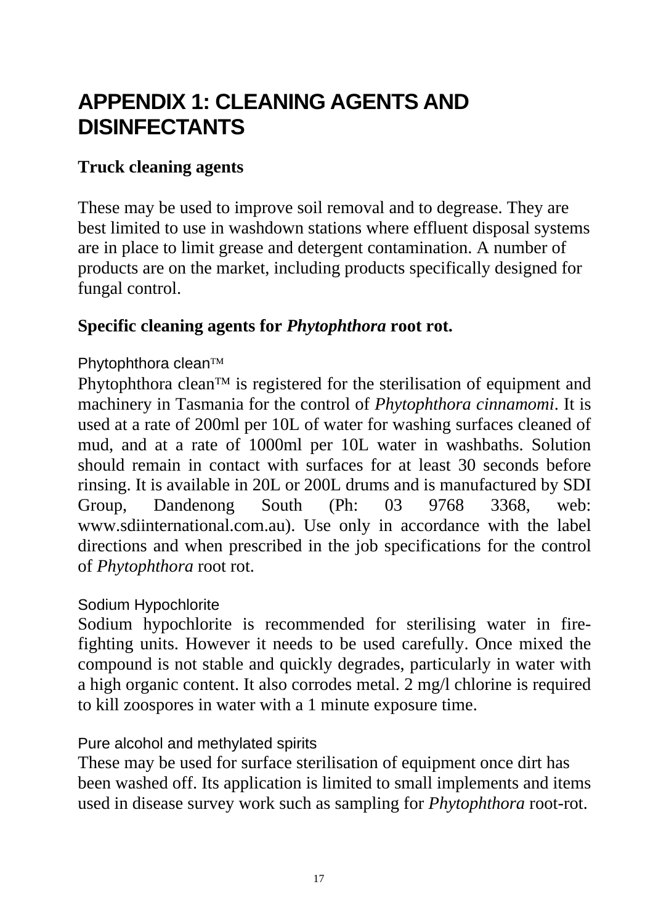# **APPENDIX 1: CLEANING AGENTS AND DISINFECTANTS**

#### **Truck cleaning agents**

These may be used to improve soil removal and to degrease. They are best limited to use in washdown stations where effluent disposal systems are in place to limit grease and detergent contamination. A number of products are on the market, including products specifically designed for fungal control.

#### **Specific cleaning agents for** *Phytophthora* **root rot.**

#### Phytophthora clean™

Phytophthora clean<sup>™</sup> is registered for the sterilisation of equipment and machinery in Tasmania for the control of *Phytophthora cinnamomi*. It is used at a rate of 200ml per 10L of water for washing surfaces cleaned of mud, and at a rate of 1000ml per 10L water in washbaths. Solution should remain in contact with surfaces for at least 30 seconds before rinsing. It is available in 20L or 200L drums and is manufactured by SDI Group, Dandenong South (Ph: 03 9768 3368, web: www.sdiinternational.com.au). Use only in accordance with the label directions and when prescribed in the job specifications for the control of *Phytophthora* root rot.

#### Sodium Hypochlorite

Sodium hypochlorite is recommended for sterilising water in firefighting units. However it needs to be used carefully. Once mixed the compound is not stable and quickly degrades, particularly in water with a high organic content. It also corrodes metal. 2 mg/l chlorine is required to kill zoospores in water with a 1 minute exposure time.

#### Pure alcohol and methylated spirits

These may be used for surface sterilisation of equipment once dirt has been washed off. Its application is limited to small implements and items used in disease survey work such as sampling for *Phytophthora* root-rot.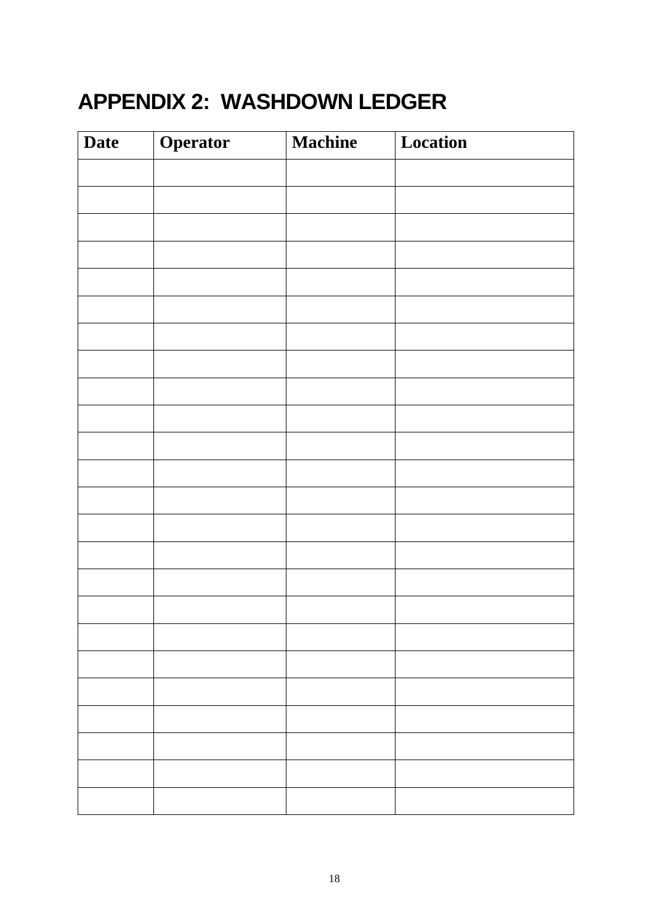# **APPENDIX 2: WASHDOWN LEDGER**

| <b>Date</b> | Operator | <b>Machine</b> | Location |
|-------------|----------|----------------|----------|
|             |          |                |          |
|             |          |                |          |
|             |          |                |          |
|             |          |                |          |
|             |          |                |          |
|             |          |                |          |
|             |          |                |          |
|             |          |                |          |
|             |          |                |          |
|             |          |                |          |
|             |          |                |          |
|             |          |                |          |
|             |          |                |          |
|             |          |                |          |
|             |          |                |          |
|             |          |                |          |
|             |          |                |          |
|             |          |                |          |
|             |          |                |          |
|             |          |                |          |
|             |          |                |          |
|             |          |                |          |
|             |          |                |          |
|             |          |                |          |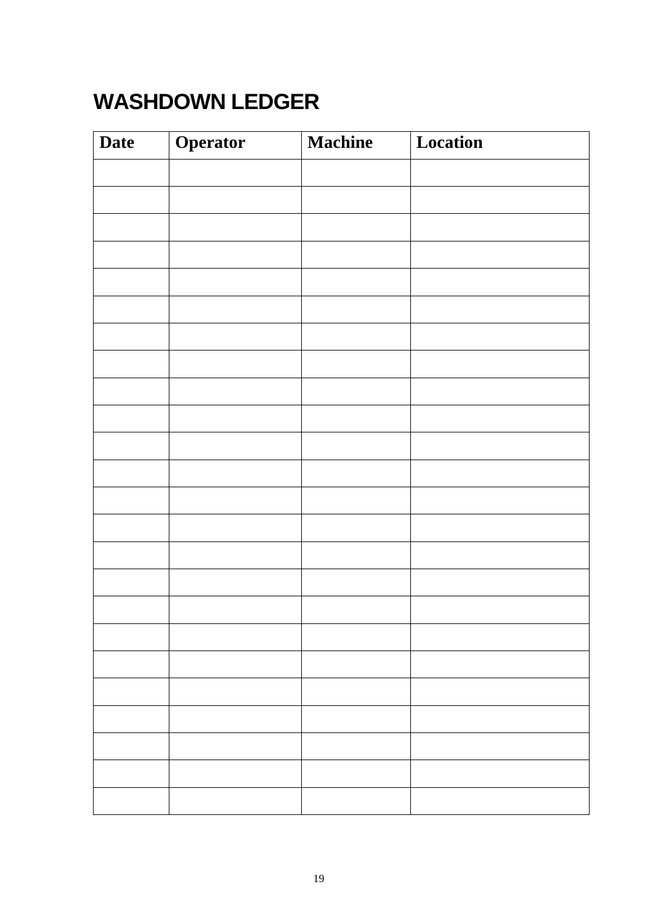# **WASHDOWN LEDGER**

| <b>Date</b> | Operator | <b>Machine</b> | Location |
|-------------|----------|----------------|----------|
|             |          |                |          |
|             |          |                |          |
|             |          |                |          |
|             |          |                |          |
|             |          |                |          |
|             |          |                |          |
|             |          |                |          |
|             |          |                |          |
|             |          |                |          |
|             |          |                |          |
|             |          |                |          |
|             |          |                |          |
|             |          |                |          |
|             |          |                |          |
|             |          |                |          |
|             |          |                |          |
|             |          |                |          |
|             |          |                |          |
|             |          |                |          |
|             |          |                |          |
|             |          |                |          |
|             |          |                |          |
|             |          |                |          |
|             |          |                |          |